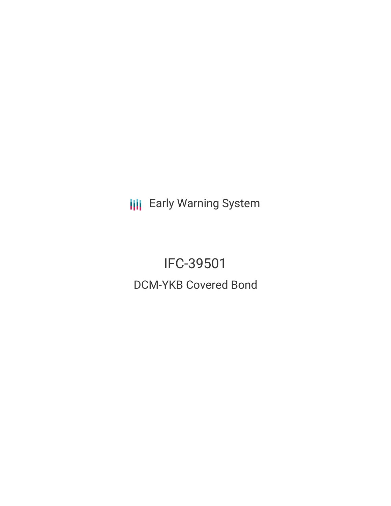**III** Early Warning System

IFC-39501 DCM-YKB Covered Bond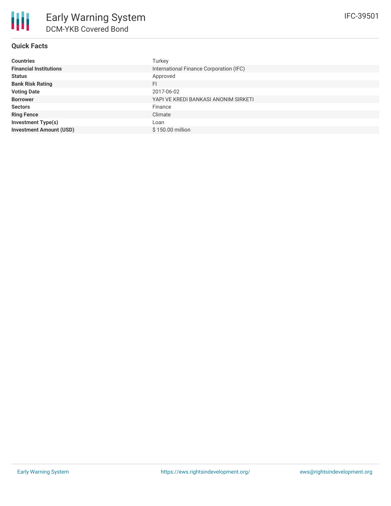

### **Quick Facts**

| <b>Countries</b>               | Turkey                                  |
|--------------------------------|-----------------------------------------|
| <b>Financial Institutions</b>  | International Finance Corporation (IFC) |
| <b>Status</b>                  | Approved                                |
| <b>Bank Risk Rating</b>        | FI                                      |
| <b>Voting Date</b>             | 2017-06-02                              |
| <b>Borrower</b>                | YAPI VE KREDI BANKASI ANONIM SIRKETI    |
| <b>Sectors</b>                 | Finance                                 |
| <b>Ring Fence</b>              | Climate                                 |
| <b>Investment Type(s)</b>      | Loan                                    |
| <b>Investment Amount (USD)</b> | \$150.00 million                        |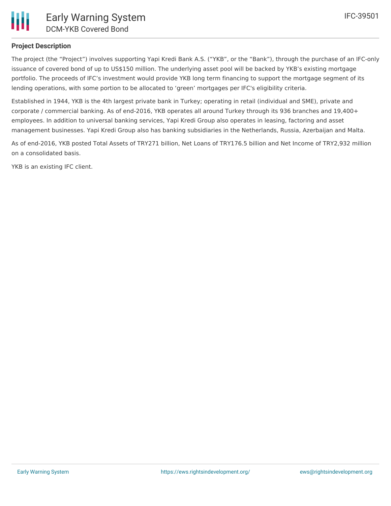### **Project Description**

The project (the "Project") involves supporting Yapi Kredi Bank A.S. ("YKB", or the "Bank"), through the purchase of an IFC-only issuance of covered bond of up to US\$150 million. The underlying asset pool will be backed by YKB's existing mortgage portfolio. The proceeds of IFC's investment would provide YKB long term financing to support the mortgage segment of its lending operations, with some portion to be allocated to 'green' mortgages per IFC's eligibility criteria.

Established in 1944, YKB is the 4th largest private bank in Turkey; operating in retail (individual and SME), private and corporate / commercial banking. As of end-2016, YKB operates all around Turkey through its 936 branches and 19,400+ employees. In addition to universal banking services, Yapi Kredi Group also operates in leasing, factoring and asset management businesses. Yapi Kredi Group also has banking subsidiaries in the Netherlands, Russia, Azerbaijan and Malta.

As of end-2016, YKB posted Total Assets of TRY271 billion, Net Loans of TRY176.5 billion and Net Income of TRY2,932 million on a consolidated basis.

YKB is an existing IFC client.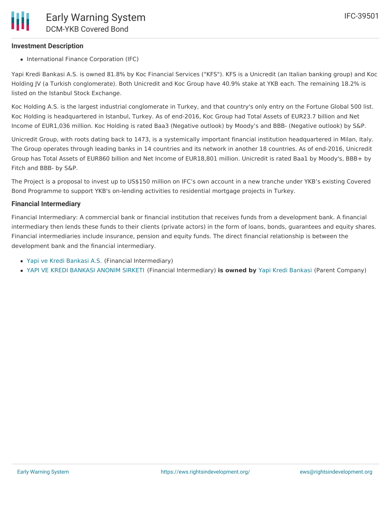• International Finance Corporation (IFC)

Yapi Kredi Bankasi A.S. is owned 81.8% by Koc Financial Services ("KFS"). KFS is a Unicredit (an Italian banking group) and Koc Holding JV (a Turkish conglomerate). Both Unicredit and Koc Group have 40.9% stake at YKB each. The remaining 18.2% is listed on the Istanbul Stock Exchange.

Koc Holding A.S. is the largest industrial conglomerate in Turkey, and that country's only entry on the Fortune Global 500 list. Koc Holding is headquartered in Istanbul, Turkey. As of end-2016, Koc Group had Total Assets of EUR23.7 billion and Net Income of EUR1,036 million. Koc Holding is rated Baa3 (Negative outlook) by Moody's and BBB- (Negative outlook) by S&P.

Unicredit Group, with roots dating back to 1473, is a systemically important financial institution headquartered in Milan, Italy. The Group operates through leading banks in 14 countries and its network in another 18 countries. As of end-2016, Unicredit Group has Total Assets of EUR860 billion and Net Income of EUR18,801 million. Unicredit is rated Baa1 by Moody's, BBB+ by Fitch and BBB- by S&P.

The Project is a proposal to invest up to US\$150 million on IFC's own account in a new tranche under YKB's existing Covered Bond Programme to support YKB's on-lending activities to residential mortgage projects in Turkey.

#### **Financial Intermediary**

Financial Intermediary: A commercial bank or financial institution that receives funds from a development bank. A financial intermediary then lends these funds to their clients (private actors) in the form of loans, bonds, guarantees and equity shares. Financial intermediaries include insurance, pension and equity funds. The direct financial relationship is between the development bank and the financial intermediary.

- Yapi ve Kredi [Bankasi](file:///actor/1250/) A.S. (Financial Intermediary)
- YAPI VE KREDI [BANKASI](file:///actor/3509/) ANONIM SIRKETI (Financial Intermediary) **is owned by** Yapi Kredi [Bankasi](file:///actor/3568/) (Parent Company)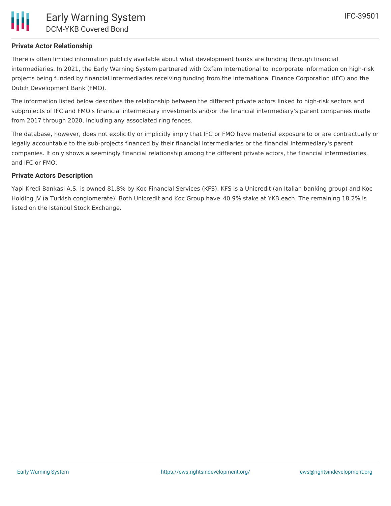### **Private Actor Relationship**

There is often limited information publicly available about what development banks are funding through financial intermediaries. In 2021, the Early Warning System partnered with Oxfam International to incorporate information on high-risk projects being funded by financial intermediaries receiving funding from the International Finance Corporation (IFC) and the Dutch Development Bank (FMO).

The information listed below describes the relationship between the different private actors linked to high-risk sectors and subprojects of IFC and FMO's financial intermediary investments and/or the financial intermediary's parent companies made from 2017 through 2020, including any associated ring fences.

The database, however, does not explicitly or implicitly imply that IFC or FMO have material exposure to or are contractually or legally accountable to the sub-projects financed by their financial intermediaries or the financial intermediary's parent companies. It only shows a seemingly financial relationship among the different private actors, the financial intermediaries, and IFC or FMO.

### **Private Actors Description**

Yapi Kredi Bankasi A.S. is owned 81.8% by Koc Financial Services (KFS). KFS is a Unicredit (an Italian banking group) and Koc Holding JV (a Turkish conglomerate). Both Unicredit and Koc Group have 40.9% stake at YKB each. The remaining 18.2% is listed on the Istanbul Stock Exchange.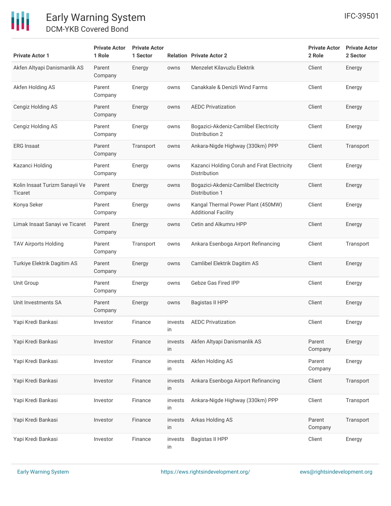

## Early Warning System DCM-YKB Covered Bond

| <b>Private Actor 1</b>                           | <b>Private Actor</b><br>1 Role | <b>Private Actor</b><br>1 Sector |               | <b>Relation Private Actor 2</b>                                  | <b>Private Actor</b><br>2 Role | <b>Private Actor</b><br>2 Sector |
|--------------------------------------------------|--------------------------------|----------------------------------|---------------|------------------------------------------------------------------|--------------------------------|----------------------------------|
| Akfen Altyapi Danismanlik AS                     | Parent<br>Company              | Energy                           | owns          | Menzelet Kilavuzlu Elektrik                                      | Client                         | Energy                           |
| Akfen Holding AS                                 | Parent<br>Company              | Energy                           | owns          | Canakkale & Denizli Wind Farms                                   | Client                         | Energy                           |
| Cengiz Holding AS                                | Parent<br>Company              | Energy                           | owns          | <b>AEDC Privatization</b>                                        | Client                         | Energy                           |
| Cengiz Holding AS                                | Parent<br>Company              | Energy                           | owns          | Bogazici-Akdeniz-Camlibel Electricity<br>Distribution 2          | Client                         | Energy                           |
| <b>ERG Insaat</b>                                | Parent<br>Company              | Transport                        | owns          | Ankara-Nigde Highway (330km) PPP                                 | Client                         | Transport                        |
| Kazanci Holding                                  | Parent<br>Company              | Energy                           | owns          | Kazanci Holding Coruh and Firat Electricity<br>Distribution      | Client                         | Energy                           |
| Kolin Insaat Turizm Sanayii Ve<br><b>Ticaret</b> | Parent<br>Company              | Energy                           | owns          | Bogazici-Akdeniz-Camlibel Electricity<br>Distribution 1          | Client                         | Energy                           |
| Konya Seker                                      | Parent<br>Company              | Energy                           | owns          | Kangal Thermal Power Plant (450MW)<br><b>Additional Facility</b> | Client                         | Energy                           |
| Limak Insaat Sanayi ve Ticaret                   | Parent<br>Company              | Energy                           | owns          | Cetin and Alkumru HPP                                            | Client                         | Energy                           |
| <b>TAV Airports Holding</b>                      | Parent<br>Company              | Transport                        | owns          | Ankara Esenboga Airport Refinancing                              | Client                         | Transport                        |
| Turkiye Elektrik Dagitim AS                      | Parent<br>Company              | Energy                           | owns          | Camlibel Elektrik Dagitim AS                                     | Client                         | Energy                           |
| Unit Group                                       | Parent<br>Company              | Energy                           | owns          | Gebze Gas Fired IPP                                              | Client                         | Energy                           |
| Unit Investments SA                              | Parent<br>Company              | Energy                           | owns          | <b>Bagistas II HPP</b>                                           | Client                         | Energy                           |
| Yapi Kredi Bankasi                               | Investor                       | Finance                          | invests<br>in | <b>AEDC Privatization</b>                                        | Client                         | Energy                           |
| Yapi Kredi Bankasi                               | Investor                       | Finance                          | invests<br>in | Akfen Altyapi Danismanlik AS                                     | Parent<br>Company              | Energy                           |
| Yapi Kredi Bankasi                               | Investor                       | Finance                          | invests<br>in | Akfen Holding AS                                                 | Parent<br>Company              | Energy                           |
| Yapi Kredi Bankasi                               | Investor                       | Finance                          | invests<br>in | Ankara Esenboga Airport Refinancing                              | Client                         | Transport                        |
| Yapi Kredi Bankasi                               | Investor                       | Finance                          | invests<br>in | Ankara-Nigde Highway (330km) PPP                                 | Client                         | Transport                        |
| Yapi Kredi Bankasi                               | Investor                       | Finance                          | invests<br>in | Arkas Holding AS                                                 | Parent<br>Company              | Transport                        |
| Yapi Kredi Bankasi                               | Investor                       | Finance                          | invests<br>in | <b>Bagistas II HPP</b>                                           | Client                         | Energy                           |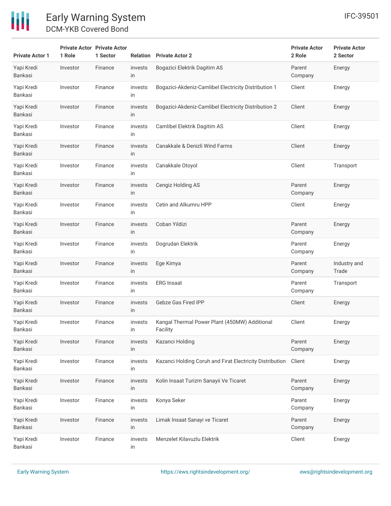

# Early Warning System DCM-YKB Covered Bond

| <b>Private Actor 1</b> | 1 Role   | <b>Private Actor Private Actor</b><br>1 Sector | <b>Relation</b> | <b>Private Actor 2</b>                                    | <b>Private Actor</b><br>2 Role | <b>Private Actor</b><br>2 Sector |
|------------------------|----------|------------------------------------------------|-----------------|-----------------------------------------------------------|--------------------------------|----------------------------------|
| Yapi Kredi<br>Bankasi  | Investor | Finance                                        | invests<br>in   | Bogazici Elektrik Dagitim AS                              | Parent<br>Company              | Energy                           |
| Yapi Kredi<br>Bankasi  | Investor | Finance                                        | invests<br>in   | Bogazici-Akdeniz-Camlibel Electricity Distribution 1      | Client                         | Energy                           |
| Yapi Kredi<br>Bankasi  | Investor | Finance                                        | invests<br>in   | Bogazici-Akdeniz-Camlibel Electricity Distribution 2      | Client                         | Energy                           |
| Yapi Kredi<br>Bankasi  | Investor | Finance                                        | invests<br>in   | Camlibel Elektrik Dagitim AS                              | Client                         | Energy                           |
| Yapi Kredi<br>Bankasi  | Investor | Finance                                        | invests<br>in   | Canakkale & Denizli Wind Farms                            | Client                         | Energy                           |
| Yapi Kredi<br>Bankasi  | Investor | Finance                                        | invests<br>in   | Canakkale Otoyol                                          | Client                         | Transport                        |
| Yapi Kredi<br>Bankasi  | Investor | Finance                                        | invests<br>in   | Cengiz Holding AS                                         | Parent<br>Company              | Energy                           |
| Yapi Kredi<br>Bankasi  | Investor | Finance                                        | invests<br>in   | Cetin and Alkumru HPP                                     | Client                         | Energy                           |
| Yapi Kredi<br>Bankasi  | Investor | Finance                                        | invests<br>in   | Coban Yildizi                                             | Parent<br>Company              | Energy                           |
| Yapi Kredi<br>Bankasi  | Investor | Finance                                        | invests<br>in   | Dogrudan Elektrik                                         | Parent<br>Company              | Energy                           |
| Yapi Kredi<br>Bankasi  | Investor | Finance                                        | invests<br>in   | Ege Kimya                                                 | Parent<br>Company              | Industry and<br>Trade            |
| Yapi Kredi<br>Bankasi  | Investor | Finance                                        | invests<br>in   | <b>ERG Insaat</b>                                         | Parent<br>Company              | Transport                        |
| Yapi Kredi<br>Bankasi  | Investor | Finance                                        | invests<br>in   | Gebze Gas Fired IPP                                       | Client                         | Energy                           |
| Yapi Kredi<br>Bankasi  | Investor | Finance                                        | invests<br>ın   | Kangal Thermal Power Plant (450MW) Additional<br>Facility | Client                         | Energy                           |
| Yapi Kredi<br>Bankasi  | Investor | Finance                                        | invests<br>in   | Kazanci Holding                                           | Parent<br>Company              | Energy                           |
| Yapi Kredi<br>Bankasi  | Investor | Finance                                        | invests<br>in   | Kazanci Holding Coruh and Firat Electricity Distribution  | Client                         | Energy                           |
| Yapi Kredi<br>Bankasi  | Investor | Finance                                        | invests<br>in   | Kolin Insaat Turizm Sanayii Ve Ticaret                    | Parent<br>Company              | Energy                           |
| Yapi Kredi<br>Bankasi  | Investor | Finance                                        | invests<br>in   | Konya Seker                                               | Parent<br>Company              | Energy                           |
| Yapi Kredi<br>Bankasi  | Investor | Finance                                        | invests<br>in   | Limak Insaat Sanayi ve Ticaret                            | Parent<br>Company              | Energy                           |
| Yapi Kredi<br>Bankasi  | Investor | Finance                                        | invests<br>in   | Menzelet Kilavuzlu Elektrik                               | Client                         | Energy                           |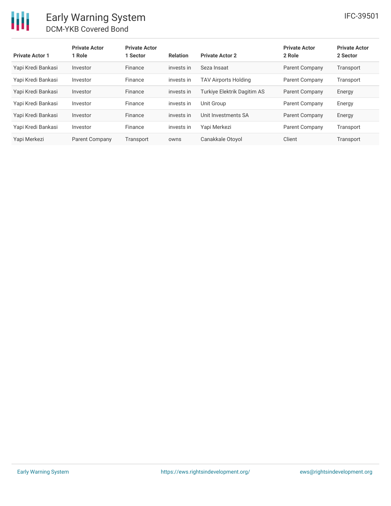

# Early Warning System DCM-YKB Covered Bond

|                        | <b>Private Actor</b> | <b>Private Actor</b> |                 |                             | <b>Private Actor</b> | <b>Private Actor</b> |
|------------------------|----------------------|----------------------|-----------------|-----------------------------|----------------------|----------------------|
| <b>Private Actor 1</b> | 1 Role               | 1 Sector             | <b>Relation</b> | <b>Private Actor 2</b>      | 2 Role               | 2 Sector             |
| Yapi Kredi Bankasi     | Investor             | Finance              | invests in      | Seza Insaat                 | Parent Company       | Transport            |
| Yapi Kredi Bankasi     | Investor             | Finance              | invests in      | <b>TAV Airports Holding</b> | Parent Company       | Transport            |
| Yapi Kredi Bankasi     | Investor             | Finance              | invests in      | Turkiye Elektrik Dagitim AS | Parent Company       | Energy               |
| Yapi Kredi Bankasi     | Investor             | Finance              | invests in      | Unit Group                  | Parent Company       | Energy               |
| Yapi Kredi Bankasi     | Investor             | Finance              | invests in      | Unit Investments SA         | Parent Company       | Energy               |
| Yapi Kredi Bankasi     | Investor             | Finance              | invests in      | Yapi Merkezi                | Parent Company       | Transport            |
| Yapi Merkezi           | Parent Company       | Transport            | owns            | Canakkale Otoyol            | Client               | Transport            |